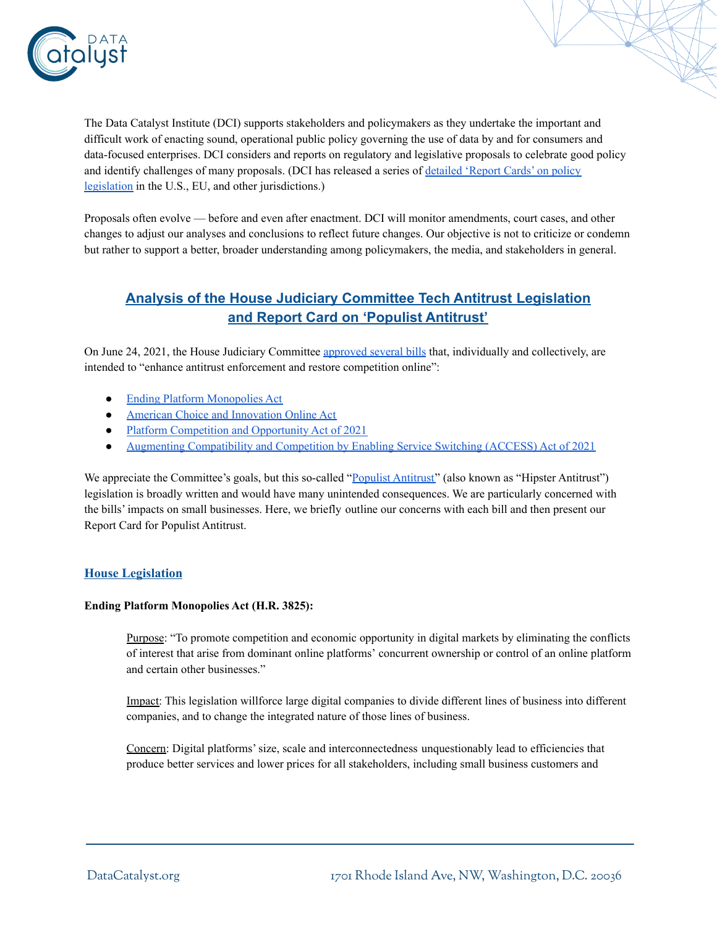

The Data Catalyst Institute (DCI) supports stakeholders and policymakers as they undertake the important and difficult work of enacting sound, operational public policy governing the use of data by and for consumers and data-focused enterprises. DCI considers and reports on regulatory and legislative proposals to celebrate good policy and identify challenges of many proposals. (DCI has released a series of [detailed](https://datacatalyst.org/policy-analysis/) 'Report Cards' on policy [legislation](https://datacatalyst.org/policy-analysis/) in the U.S., EU, and other jurisdictions.)

Proposals often evolve — before and even after enactment. DCI will monitor amendments, court cases, and other changes to adjust our analyses and conclusions to reflect future changes. Our objective is not to criticize or condemn but rather to support a better, broader understanding among policymakers, the media, and stakeholders in general.

# **Analysis of the House Judiciary Committee Tech Antitrust Legislation and Report Card on 'Populist Antitrust'**

On June 24, 2021, the House Judiciary Committee [approved](https://judiciary.house.gov/news/documentsingle.aspx?DocumentID=4622) several bills that, individually and collectively, are intended to "enhance antitrust enforcement and restore competition online":

- Ending Platform [Monopolies](http://docs.house.gov/meetings/JU/JU00/20210623/112818/BILLS-117HR3825ih.pdf) Act
- American Choice and [Innovation](http://docs.house.gov/meetings/JU/JU00/20210623/112818/BILLS-117HR3816ih.pdf) Online Act
- Platform [Competition](http://docs.house.gov/meetings/JU/JU00/20210623/112818/BILLS-117HR3826ih.pdf) and Opportunity Act of 2021
- Augmenting [Compatibility](http://docs.house.gov/meetings/JU/JU00/20210623/112818/BILLS-117HR3849ih.pdf) and Competition by Enabling Service Switching (ACCESS) Act of 2021

We appreciate the Committee's goals, but this so-called "Populist [Antitrust"](https://www.reuters.com/article/us-usa-antitrust-breakingviews/breakdown-antitrusts-hipsters-go-mainstream-idUSKBN2B3016) (also known as "Hipster Antitrust") legislation is broadly written and would have many unintended consequences. We are particularly concerned with the bills' impacts on small businesses. Here, we briefly outline our concerns with each bill and then present our Report Card for Populist Antitrust.

## **House Legislation**

#### **Ending Platform Monopolies Act (H.R. 3825):**

Purpose: "To promote competition and economic opportunity in digital markets by eliminating the conflicts of interest that arise from dominant online platforms' concurrent ownership or control of an online platform and certain other businesses."

Impact: This legislation willforce large digital companies to divide different lines of business into different companies, and to change the integrated nature of those lines of business.

Concern: Digital platforms'size, scale and interconnectedness unquestionably lead to efficiencies that produce better services and lower prices for all stakeholders, including small business customers and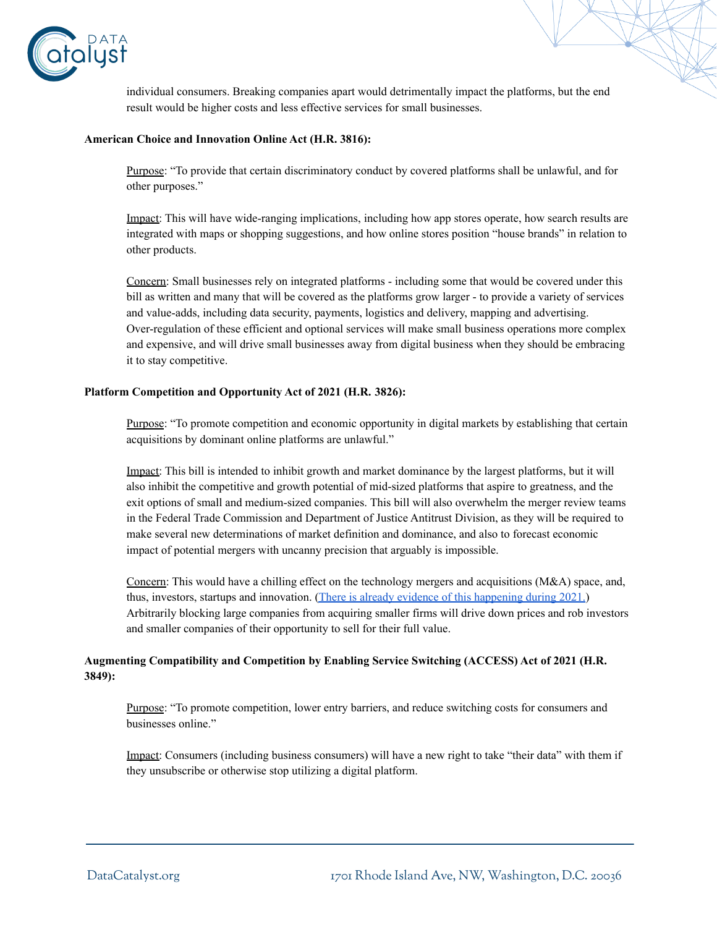

individual consumers. Breaking companies apart would detrimentally impact the platforms, but the end result would be higher costs and less effective services for small businesses.

#### **American Choice and Innovation Online Act (H.R. 3816):**

Purpose: "To provide that certain discriminatory conduct by covered platforms shall be unlawful, and for other purposes."

Impact: This will have wide-ranging implications, including how app stores operate, how search results are integrated with maps or shopping suggestions, and how online stores position "house brands" in relation to other products.

Concern: Small businesses rely on integrated platforms - including some that would be covered under this bill as written and many that will be covered as the platforms grow larger - to provide a variety of services and value-adds, including data security, payments, logistics and delivery, mapping and advertising. Over-regulation of these efficient and optional services will make small business operations more complex and expensive, and will drive small businesses away from digital business when they should be embracing it to stay competitive.

#### **Platform Competition and Opportunity Act of 2021 (H.R. 3826):**

Purpose: "To promote competition and economic opportunity in digital markets by establishing that certain acquisitions by dominant online platforms are unlawful."

Impact: This bill is intended to inhibit growth and market dominance by the largest platforms, but it will also inhibit the competitive and growth potential of mid-sized platforms that aspire to greatness, and the exit options of small and medium-sized companies. This bill will also overwhelm the merger review teams in the Federal Trade Commission and Department of Justice Antitrust Division, as they will be required to make several new determinations of market definition and dominance, and also to forecast economic impact of potential mergers with uncanny precision that arguably is impossible.

Concern: This would have a chilling effect on the technology mergers and acquisitions (M&A) space, and, thus, investors, startups and innovation. (There is already evidence of this [happening](https://news.crunchbase.com/news/big-tech-startup-acquisitions-aapl-amzn-goog-msft-fb/) during 2021.) Arbitrarily blocking large companies from acquiring smaller firms will drive down prices and rob investors and smaller companies of their opportunity to sell for their full value.

### **Augmenting Compatibility and Competition by Enabling Service Switching (ACCESS) Act of 2021 (H.R. 3849):**

Purpose: "To promote competition, lower entry barriers, and reduce switching costs for consumers and businesses online."

Impact: Consumers (including business consumers) will have a new right to take "their data" with them if they unsubscribe or otherwise stop utilizing a digital platform.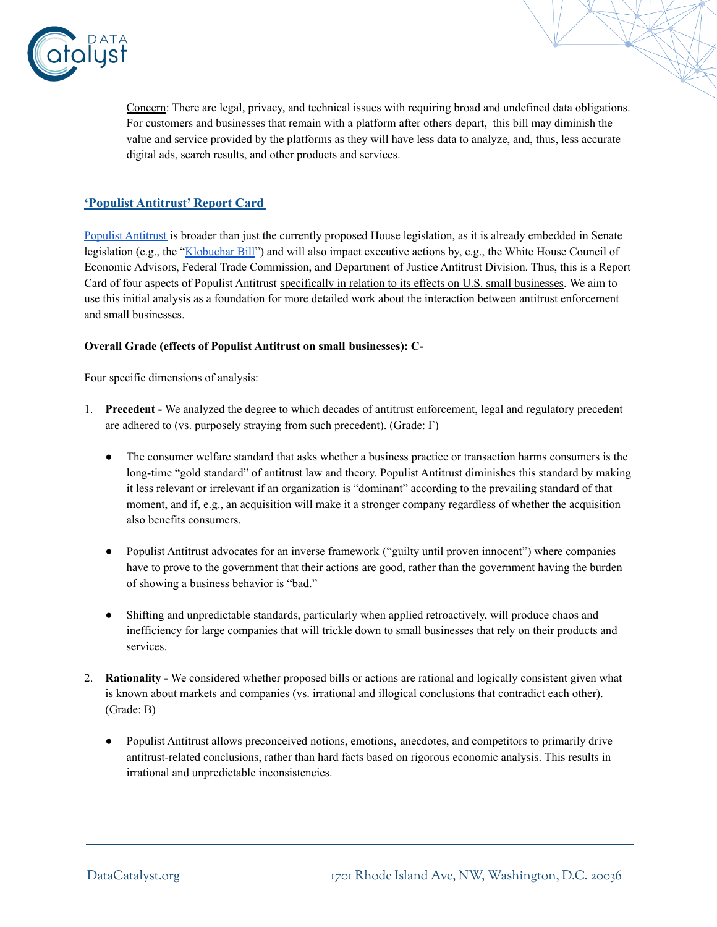

Concern: There are legal, privacy, and technical issues with requiring broad and undefined data obligations. For customers and businesses that remain with a platform after others depart, this bill may diminish the value and service provided by the platforms as they will have less data to analyze, and, thus, less accurate digital ads, search results, and other products and services.

## **'Populist Antitrust' Report Card**

Populist [Antitrust](https://www.reuters.com/article/us-usa-antitrust-breakingviews/breakdown-antitrusts-hipsters-go-mainstream-idUSKBN2B3016) is broader than just the currently proposed House legislation, as it is already embedded in Senate legislation (e.g., the ["Klobuchar](https://www.klobuchar.senate.gov/public/index.cfm/2021/2/senator-klobuchar-introduces-sweeping-bill-to-promote-competition-and-improve-antitrust-enforcement) Bill") and will also impact executive actions by, e.g., the White House Council of Economic Advisors, Federal Trade Commission, and Department of Justice Antitrust Division. Thus, this is a Report Card of four aspects of Populist Antitrust specifically in relation to its effects on U.S. small businesses. We aim to use this initial analysis as a foundation for more detailed work about the interaction between antitrust enforcement and small businesses.

#### **Overall Grade (effects of Populist Antitrust on small businesses): C-**

Four specific dimensions of analysis:

- 1. **Precedent -** We analyzed the degree to which decades of antitrust enforcement, legal and regulatory precedent are adhered to (vs. purposely straying from such precedent). (Grade: F)
	- The consumer welfare standard that asks whether a business practice or transaction harms consumers is the long-time "gold standard" of antitrust law and theory. Populist Antitrust diminishes this standard by making it less relevant or irrelevant if an organization is "dominant" according to the prevailing standard of that moment, and if, e.g., an acquisition will make it a stronger company regardless of whether the acquisition also benefits consumers.
	- Populist Antitrust advocates for an inverse framework ("guilty until proven innocent") where companies have to prove to the government that their actions are good, rather than the government having the burden of showing a business behavior is "bad."
	- Shifting and unpredictable standards, particularly when applied retroactively, will produce chaos and inefficiency for large companies that will trickle down to small businesses that rely on their products and services.
- 2. **Rationality -** We considered whether proposed bills or actions are rational and logically consistent given what is known about markets and companies (vs. irrational and illogical conclusions that contradict each other). (Grade: B)
	- Populist Antitrust allows preconceived notions, emotions, anecdotes, and competitors to primarily drive antitrust-related conclusions, rather than hard facts based on rigorous economic analysis. This results in irrational and unpredictable inconsistencies.